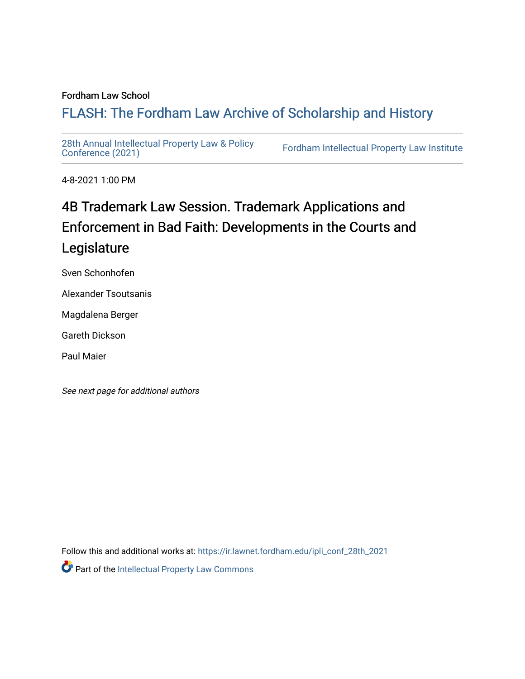## Fordham Law School

# FLASH: The For[dham Law Archive of Scholarship and Hist](https://ir.lawnet.fordham.edu/)ory

[28th Annual Intellectual Property Law & Policy](https://ir.lawnet.fordham.edu/ipli_conf_28th_2021)<br>Conference (2021)

Fordham Intellectual Property Law Institute

4-8-2021 1:00 PM

# 4B Trademark Law Session. Trademark Applications and Enforcement in Bad Faith: Developments in the Courts and Legislature

Sven Schonhofen

Alexander Tsoutsanis

Magdalena Berger

Gareth Dickson

Paul Maier

See next page for additional authors

Follow this and additional works at: [https://ir.lawnet.fordham.edu/ipli\\_conf\\_28th\\_2021](https://ir.lawnet.fordham.edu/ipli_conf_28th_2021?utm_source=ir.lawnet.fordham.edu%2Fipli_conf_28th_2021%2F11&utm_medium=PDF&utm_campaign=PDFCoverPages)  Part of the [Intellectual Property Law Commons](http://network.bepress.com/hgg/discipline/896?utm_source=ir.lawnet.fordham.edu%2Fipli_conf_28th_2021%2F11&utm_medium=PDF&utm_campaign=PDFCoverPages)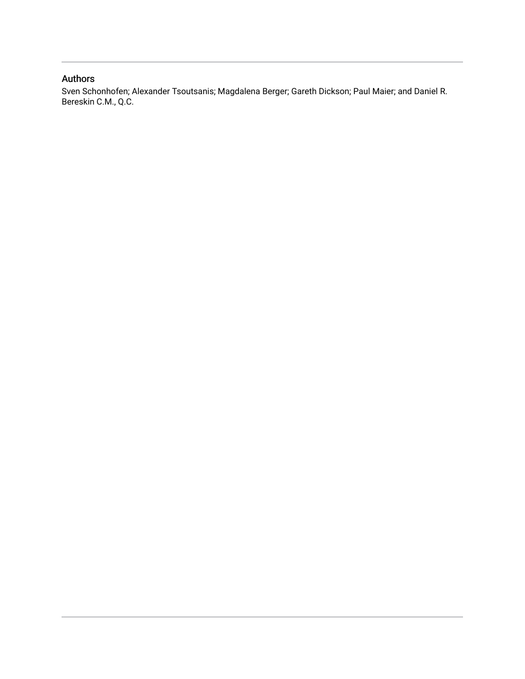# Authors

Sven Schonhofen; Alexander Tsoutsanis; Magdalena Berger; Gareth Dickson; Paul Maier; and Daniel R. Bereskin C.M., Q.C.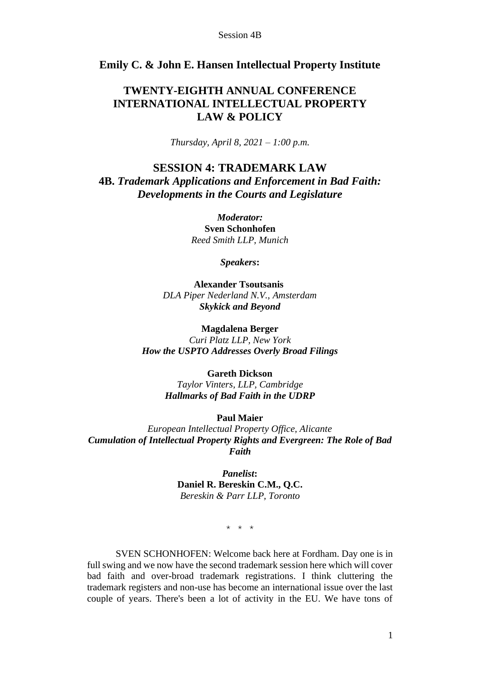# **Emily C. & John E. Hansen Intellectual Property Institute**

# **TWENTY-EIGHTH ANNUAL CONFERENCE INTERNATIONAL INTELLECTUAL PROPERTY LAW & POLICY**

*Thursday, April 8, 2021 – 1:00 p.m.*

# **SESSION 4: TRADEMARK LAW**

**4B.** *Trademark Applications and Enforcement in Bad Faith: Developments in the Courts and Legislature*

> *Moderator:* **Sven Schonhofen** *Reed Smith LLP, Munich*

> > *Speakers***:**

**Alexander Tsoutsanis** *DLA Piper Nederland N.V., Amsterdam Skykick and Beyond*

**Magdalena Berger** *Curi Platz LLP, New York How the USPTO Addresses Overly Broad Filings*

#### **Gareth Dickson**

*Taylor Vinters, LLP, Cambridge Hallmarks of Bad Faith in the UDRP*

### **Paul Maier**

*European Intellectual Property Office, Alicante Cumulation of Intellectual Property Rights and Evergreen: The Role of Bad Faith*

> *Panelist***: Daniel R. Bereskin C.M., Q.C.** *Bereskin & Parr LLP, Toronto*

> > \* \* \*

SVEN SCHONHOFEN: Welcome back here at Fordham. Day one is in full swing and we now have the second trademark session here which will cover bad faith and over-broad trademark registrations. I think cluttering the trademark registers and non-use has become an international issue over the last couple of years. There's been a lot of activity in the EU. We have tons of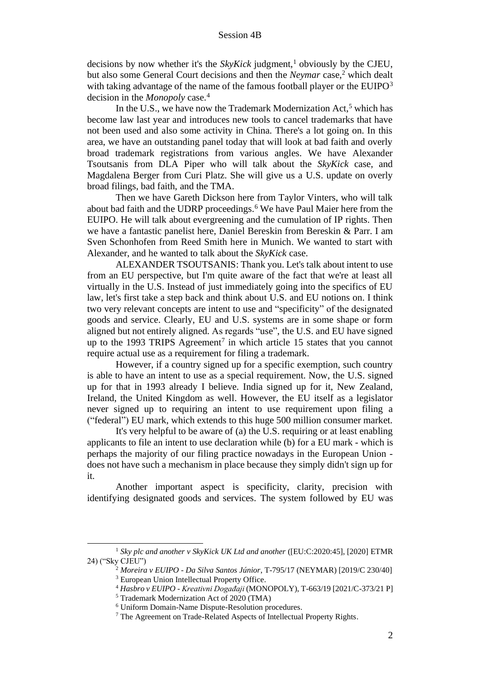decisions by now whether it's the  $SkyKick$  judgment,<sup>1</sup> obviously by the CJEU, but also some General Court decisions and then the *Neymar* case,<sup>2</sup> which dealt with taking advantage of the name of the famous football player or the EUIPO<sup>3</sup> decision in the *Monopoly* case.<sup>4</sup>

In the U.S., we have now the Trademark Modernization  $Act<sub>5</sub>$ <sup>5</sup> which has become law last year and introduces new tools to cancel trademarks that have not been used and also some activity in China. There's a lot going on. In this area, we have an outstanding panel today that will look at bad faith and overly broad trademark registrations from various angles. We have Alexander Tsoutsanis from DLA Piper who will talk about the *SkyKick* case, and Magdalena Berger from Curi Platz. She will give us a U.S. update on overly broad filings, bad faith, and the TMA.

Then we have Gareth Dickson here from Taylor Vinters, who will talk about bad faith and the UDRP proceedings.<sup>6</sup> We have Paul Maier here from the EUIPO. He will talk about evergreening and the cumulation of IP rights. Then we have a fantastic panelist here, Daniel Bereskin from Bereskin & Parr. I am Sven Schonhofen from Reed Smith here in Munich. We wanted to start with Alexander, and he wanted to talk about the *SkyKick* case.

ALEXANDER TSOUTSANIS: Thank you. Let's talk about intent to use from an EU perspective, but I'm quite aware of the fact that we're at least all virtually in the U.S. Instead of just immediately going into the specifics of EU law, let's first take a step back and think about U.S. and EU notions on. I think two very relevant concepts are intent to use and "specificity" of the designated goods and service. Clearly, EU and U.S. systems are in some shape or form aligned but not entirely aligned. As regards "use", the U.S. and EU have signed up to the 1993 TRIPS Agreement<sup>7</sup> in which article 15 states that you cannot require actual use as a requirement for filing a trademark.

However, if a country signed up for a specific exemption, such country is able to have an intent to use as a special requirement. Now, the U.S. signed up for that in 1993 already I believe. India signed up for it, New Zealand, Ireland, the United Kingdom as well. However, the EU itself as a legislator never signed up to requiring an intent to use requirement upon filing a ("federal") EU mark, which extends to this huge 500 million consumer market.

It's very helpful to be aware of (a) the U.S. requiring or at least enabling applicants to file an intent to use declaration while (b) for a EU mark - which is perhaps the majority of our filing practice nowadays in the European Union does not have such a mechanism in place because they simply didn't sign up for it.

Another important aspect is specificity, clarity, precision with identifying designated goods and services. The system followed by EU was

<sup>&</sup>lt;sup>1</sup> *Sky plc and another v SkyKick UK Ltd and another* ([EU:C:2020:45], [2020] ETMR 24) ("Sky CJEU")

<sup>2</sup> *Moreira v EUIPO - Da Silva Santos Júnior*, T-795/17 (NEYMAR) [2019/C 230/40] <sup>3</sup> European Union Intellectual Property Office.

<sup>4</sup> *Hasbro v EUIPO - Kreativni Događaji* (MONOPOLY), T-663/19 [2021/C-373/21 P]

<sup>5</sup> Trademark Modernization Act of 2020 (TMA)

<sup>6</sup> Uniform Domain-Name Dispute-Resolution procedures.

<sup>7</sup> The Agreement on Trade-Related Aspects of Intellectual Property Rights.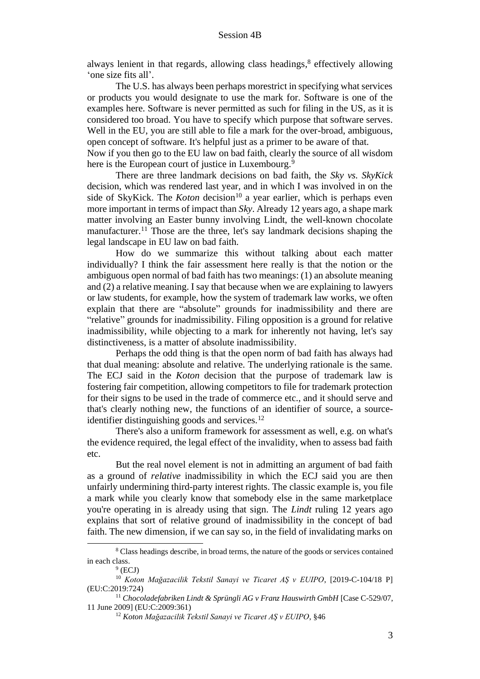always lenient in that regards, allowing class headings, 8 effectively allowing 'one size fits all'.

The U.S. has always been perhaps morestrict in specifying what services or products you would designate to use the mark for. Software is one of the examples here. Software is never permitted as such for filing in the US, as it is considered too broad. You have to specify which purpose that software serves. Well in the EU, you are still able to file a mark for the over-broad, ambiguous, open concept of software. It's helpful just as a primer to be aware of that.

Now if you then go to the EU law on bad faith, clearly the source of all wisdom here is the European court of justice in Luxembourg.<sup>9</sup>

There are three landmark decisions on bad faith, the *Sky vs. SkyKick* decision, which was rendered last year, and in which I was involved in on the side of SkyKick. The *Koton* decision<sup>10</sup> a year earlier, which is perhaps even more important in terms of impact than *Sky*. Already 12 years ago, a shape mark matter involving an Easter bunny involving Lindt, the well-known chocolate manufacturer.<sup>11</sup> Those are the three, let's say landmark decisions shaping the legal landscape in EU law on bad faith.

How do we summarize this without talking about each matter individually? I think the fair assessment here really is that the notion or the ambiguous open normal of bad faith has two meanings: (1) an absolute meaning and (2) a relative meaning. I say that because when we are explaining to lawyers or law students, for example, how the system of trademark law works, we often explain that there are "absolute" grounds for inadmissibility and there are "relative" grounds for inadmissibility. Filing opposition is a ground for relative inadmissibility, while objecting to a mark for inherently not having, let's say distinctiveness, is a matter of absolute inadmissibility.

Perhaps the odd thing is that the open norm of bad faith has always had that dual meaning: absolute and relative. The underlying rationale is the same. The ECJ said in the *Koton* decision that the purpose of trademark law is fostering fair competition, allowing competitors to file for trademark protection for their signs to be used in the trade of commerce etc., and it should serve and that's clearly nothing new, the functions of an identifier of source, a sourceidentifier distinguishing goods and services.<sup>12</sup>

There's also a uniform framework for assessment as well, e.g. on what's the evidence required, the legal effect of the invalidity, when to assess bad faith etc.

But the real novel element is not in admitting an argument of bad faith as a ground of *relative* inadmissibility in which the ECJ said you are then unfairly undermining third-party interest rights. The classic example is, you file a mark while you clearly know that somebody else in the same marketplace you're operating in is already using that sign. The *Lindt* ruling 12 years ago explains that sort of relative ground of inadmissibility in the concept of bad faith. The new dimension, if we can say so, in the field of invalidating marks on

<sup>&</sup>lt;sup>8</sup> Class headings describe, in broad terms, the nature of the goods or services contained in each class.

 $9$  (ECJ)

<sup>10</sup> *Koton Mağazacilik Tekstil Sanayi ve Ticaret AŞ v EUIPO*, [2019-C-104/18 P] (EU:C:2019:724)

<sup>&</sup>lt;sup>11</sup> Chocoladefabriken Lindt & Sprüngli AG v Franz Hauswirth GmbH [Case C-529/07, 11 June 2009] (EU:C:2009:361)

<sup>12</sup> *Koton Mağazacilik Tekstil Sanayi ve Ticaret AŞ v EUIPO*, §46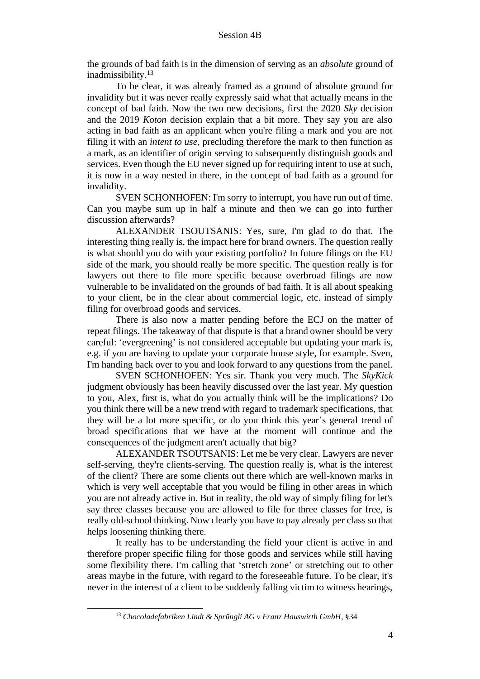the grounds of bad faith is in the dimension of serving as an *absolute* ground of inadmissibility.<sup>13</sup>

To be clear, it was already framed as a ground of absolute ground for invalidity but it was never really expressly said what that actually means in the concept of bad faith. Now the two new decisions, first the 2020 *Sky* decision and the 2019 *Koton* decision explain that a bit more. They say you are also acting in bad faith as an applicant when you're filing a mark and you are not filing it with an *intent to use*, precluding therefore the mark to then function as a mark, as an identifier of origin serving to subsequently distinguish goods and services. Even though the EU never signed up for requiring intent to use at such, it is now in a way nested in there, in the concept of bad faith as a ground for invalidity.

SVEN SCHONHOFEN: I'm sorry to interrupt, you have run out of time. Can you maybe sum up in half a minute and then we can go into further discussion afterwards?

ALEXANDER TSOUTSANIS: Yes, sure, I'm glad to do that. The interesting thing really is, the impact here for brand owners. The question really is what should you do with your existing portfolio? In future filings on the EU side of the mark, you should really be more specific. The question really is for lawyers out there to file more specific because overbroad filings are now vulnerable to be invalidated on the grounds of bad faith. It is all about speaking to your client, be in the clear about commercial logic, etc. instead of simply filing for overbroad goods and services.

There is also now a matter pending before the ECJ on the matter of repeat filings. The takeaway of that dispute is that a brand owner should be very careful: 'evergreening' is not considered acceptable but updating your mark is, e.g. if you are having to update your corporate house style, for example. Sven, I'm handing back over to you and look forward to any questions from the panel.

SVEN SCHONHOFEN: Yes sir. Thank you very much. The *SkyKick*  judgment obviously has been heavily discussed over the last year. My question to you, Alex, first is, what do you actually think will be the implications? Do you think there will be a new trend with regard to trademark specifications, that they will be a lot more specific, or do you think this year's general trend of broad specifications that we have at the moment will continue and the consequences of the judgment aren't actually that big?

ALEXANDER TSOUTSANIS: Let me be very clear. Lawyers are never self-serving, they're clients-serving. The question really is, what is the interest of the client? There are some clients out there which are well-known marks in which is very well acceptable that you would be filing in other areas in which you are not already active in. But in reality, the old way of simply filing for let's say three classes because you are allowed to file for three classes for free, is really old-school thinking. Now clearly you have to pay already per class so that helps loosening thinking there.

It really has to be understanding the field your client is active in and therefore proper specific filing for those goods and services while still having some flexibility there. I'm calling that 'stretch zone' or stretching out to other areas maybe in the future, with regard to the foreseeable future. To be clear, it's never in the interest of a client to be suddenly falling victim to witness hearings,

<sup>13</sup> *Chocoladefabriken Lindt & Sprüngli AG v Franz Hauswirth GmbH*, §34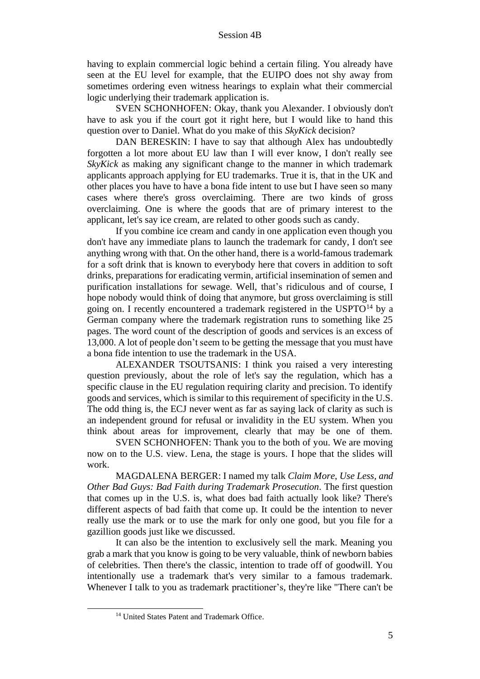having to explain commercial logic behind a certain filing. You already have seen at the EU level for example, that the EUIPO does not shy away from sometimes ordering even witness hearings to explain what their commercial logic underlying their trademark application is.

SVEN SCHONHOFEN: Okay, thank you Alexander. I obviously don't have to ask you if the court got it right here, but I would like to hand this question over to Daniel. What do you make of this *SkyKick* decision?

DAN BERESKIN: I have to say that although Alex has undoubtedly forgotten a lot more about EU law than I will ever know, I don't really see *SkyKick* as making any significant change to the manner in which trademark applicants approach applying for EU trademarks. True it is, that in the UK and other places you have to have a bona fide intent to use but I have seen so many cases where there's gross overclaiming. There are two kinds of gross overclaiming. One is where the goods that are of primary interest to the applicant, let's say ice cream, are related to other goods such as candy.

If you combine ice cream and candy in one application even though you don't have any immediate plans to launch the trademark for candy, I don't see anything wrong with that. On the other hand, there is a world-famous trademark for a soft drink that is known to everybody here that covers in addition to soft drinks, preparations for eradicating vermin, artificial insemination of semen and purification installations for sewage. Well, that's ridiculous and of course, I hope nobody would think of doing that anymore, but gross overclaiming is still going on. I recently encountered a trademark registered in the  $USPTO<sup>14</sup>$  by a German company where the trademark registration runs to something like 25 pages. The word count of the description of goods and services is an excess of 13,000. A lot of people don't seem to be getting the message that you must have a bona fide intention to use the trademark in the USA.

ALEXANDER TSOUTSANIS: I think you raised a very interesting question previously, about the role of let's say the regulation, which has a specific clause in the EU regulation requiring clarity and precision. To identify goods and services, which is similar to this requirement of specificity in the U.S. The odd thing is, the ECJ never went as far as saying lack of clarity as such is an independent ground for refusal or invalidity in the EU system. When you think about areas for improvement, clearly that may be one of them.

SVEN SCHONHOFEN: Thank you to the both of you. We are moving now on to the U.S. view. Lena, the stage is yours. I hope that the slides will work.

MAGDALENA BERGER: I named my talk *Claim More, Use Less, and Other Bad Guys: Bad Faith during Trademark Prosecution*. The first question that comes up in the U.S. is, what does bad faith actually look like? There's different aspects of bad faith that come up. It could be the intention to never really use the mark or to use the mark for only one good, but you file for a gazillion goods just like we discussed.

It can also be the intention to exclusively sell the mark. Meaning you grab a mark that you know is going to be very valuable, think of newborn babies of celebrities. Then there's the classic, intention to trade off of goodwill. You intentionally use a trademark that's very similar to a famous trademark. Whenever I talk to you as trademark practitioner's, they're like "There can't be

<sup>&</sup>lt;sup>14</sup> United States Patent and Trademark Office.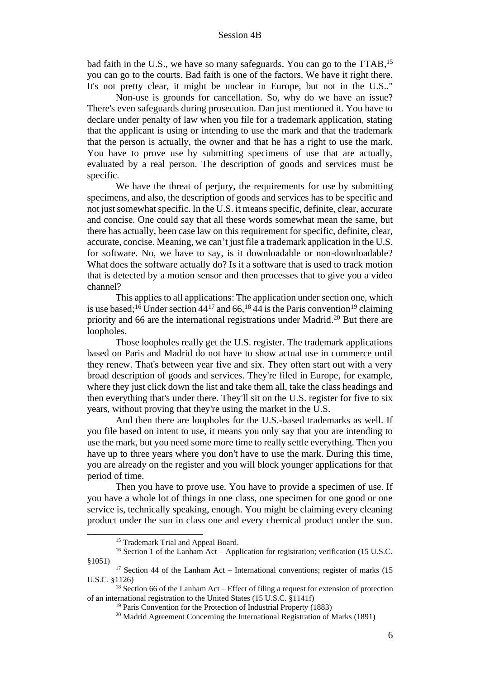bad faith in the U.S., we have so many safeguards. You can go to the TTAB,<sup>15</sup> you can go to the courts. Bad faith is one of the factors. We have it right there. It's not pretty clear, it might be unclear in Europe, but not in the U.S.."

Non-use is grounds for cancellation. So, why do we have an issue? There's even safeguards during prosecution. Dan just mentioned it. You have to declare under penalty of law when you file for a trademark application, stating that the applicant is using or intending to use the mark and that the trademark that the person is actually, the owner and that he has a right to use the mark. You have to prove use by submitting specimens of use that are actually, evaluated by a real person. The description of goods and services must be specific.

We have the threat of perjury, the requirements for use by submitting specimens, and also, the description of goods and services has to be specific and not just somewhatspecific. In the U.S. it means specific, definite, clear, accurate and concise. One could say that all these words somewhat mean the same, but there has actually, been case law on this requirement for specific, definite, clear, accurate, concise. Meaning, we can't just file a trademark application in the U.S. for software. No, we have to say, is it downloadable or non-downloadable? What does the software actually do? Is it a software that is used to track motion that is detected by a motion sensor and then processes that to give you a video channel?

This applies to all applications: The application under section one, which is use based;<sup>16</sup> Under section  $44^{17}$  and 66,<sup>18</sup> 44 is the Paris convention<sup>19</sup> claiming priority and 66 are the international registrations under Madrid.<sup>20</sup> But there are loopholes.

Those loopholes really get the U.S. register. The trademark applications based on Paris and Madrid do not have to show actual use in commerce until they renew. That's between year five and six. They often start out with a very broad description of goods and services. They're filed in Europe, for example, where they just click down the list and take them all, take the class headings and then everything that's under there. They'll sit on the U.S. register for five to six years, without proving that they're using the market in the U.S.

And then there are loopholes for the U.S.-based trademarks as well. If you file based on intent to use, it means you only say that you are intending to use the mark, but you need some more time to really settle everything. Then you have up to three years where you don't have to use the mark. During this time, you are already on the register and you will block younger applications for that period of time.

Then you have to prove use. You have to provide a specimen of use. If you have a whole lot of things in one class, one specimen for one good or one service is, technically speaking, enough. You might be claiming every cleaning product under the sun in class one and every chemical product under the sun.

<sup>&</sup>lt;sup>15</sup> Trademark Trial and Appeal Board.

<sup>&</sup>lt;sup>16</sup> Section 1 of the Lanham Act – Application for registration; verification (15 U.S.C. §1051)

 $17$  Section 44 of the Lanham Act – International conventions; register of marks (15) U.S.C. §1126)

 $18$  Section 66 of the Lanham Act – Effect of filing a request for extension of protection of an international registration to the United States (15 U.S.C. §1141f)

<sup>&</sup>lt;sup>19</sup> Paris Convention for the Protection of Industrial Property (1883)

<sup>&</sup>lt;sup>20</sup> Madrid Agreement Concerning the International Registration of Marks (1891)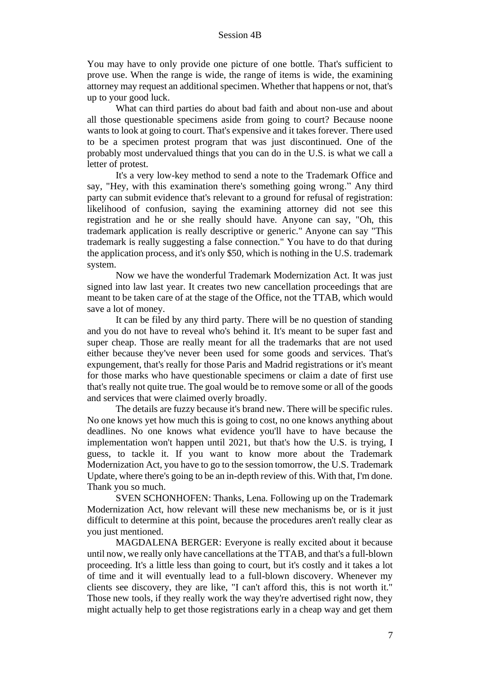You may have to only provide one picture of one bottle. That's sufficient to prove use. When the range is wide, the range of items is wide, the examining attorney may request an additional specimen. Whether that happens or not, that's up to your good luck.

What can third parties do about bad faith and about non-use and about all those questionable specimens aside from going to court? Because noone wants to look at going to court. That's expensive and it takes forever. There used to be a specimen protest program that was just discontinued. One of the probably most undervalued things that you can do in the U.S. is what we call a letter of protest.

It's a very low-key method to send a note to the Trademark Office and say, "Hey, with this examination there's something going wrong." Any third party can submit evidence that's relevant to a ground for refusal of registration: likelihood of confusion, saying the examining attorney did not see this registration and he or she really should have. Anyone can say, "Oh, this trademark application is really descriptive or generic." Anyone can say "This trademark is really suggesting a false connection." You have to do that during the application process, and it's only \$50, which is nothing in the U.S. trademark system.

Now we have the wonderful Trademark Modernization Act. It was just signed into law last year. It creates two new cancellation proceedings that are meant to be taken care of at the stage of the Office, not the TTAB, which would save a lot of money.

It can be filed by any third party. There will be no question of standing and you do not have to reveal who's behind it. It's meant to be super fast and super cheap. Those are really meant for all the trademarks that are not used either because they've never been used for some goods and services. That's expungement, that's really for those Paris and Madrid registrations or it's meant for those marks who have questionable specimens or claim a date of first use that's really not quite true. The goal would be to remove some or all of the goods and services that were claimed overly broadly.

The details are fuzzy because it's brand new. There will be specific rules. No one knows yet how much this is going to cost, no one knows anything about deadlines. No one knows what evidence you'll have to have because the implementation won't happen until 2021, but that's how the U.S. is trying, I guess, to tackle it. If you want to know more about the Trademark Modernization Act, you have to go to the session tomorrow, the U.S. Trademark Update, where there's going to be an in-depth review of this. With that, I'm done. Thank you so much.

SVEN SCHONHOFEN: Thanks, Lena. Following up on the Trademark Modernization Act, how relevant will these new mechanisms be, or is it just difficult to determine at this point, because the procedures aren't really clear as you just mentioned.

MAGDALENA BERGER: Everyone is really excited about it because until now, we really only have cancellations at the TTAB, and that's a full-blown proceeding. It's a little less than going to court, but it's costly and it takes a lot of time and it will eventually lead to a full-blown discovery. Whenever my clients see discovery, they are like, "I can't afford this, this is not worth it." Those new tools, if they really work the way they're advertised right now, they might actually help to get those registrations early in a cheap way and get them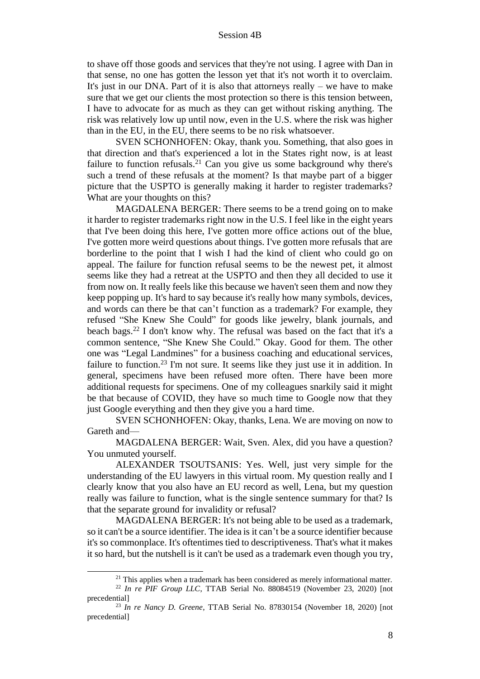to shave off those goods and services that they're not using. I agree with Dan in that sense, no one has gotten the lesson yet that it's not worth it to overclaim. It's just in our DNA. Part of it is also that attorneys really – we have to make sure that we get our clients the most protection so there is this tension between, I have to advocate for as much as they can get without risking anything. The risk was relatively low up until now, even in the U.S. where the risk was higher than in the EU, in the EU, there seems to be no risk whatsoever.

SVEN SCHONHOFEN: Okay, thank you. Something, that also goes in that direction and that's experienced a lot in the States right now, is at least failure to function refusals.<sup>21</sup> Can you give us some background why there's such a trend of these refusals at the moment? Is that maybe part of a bigger picture that the USPTO is generally making it harder to register trademarks? What are your thoughts on this?

MAGDALENA BERGER: There seems to be a trend going on to make it harder to register trademarks right now in the U.S. I feel like in the eight years that I've been doing this here, I've gotten more office actions out of the blue, I've gotten more weird questions about things. I've gotten more refusals that are borderline to the point that I wish I had the kind of client who could go on appeal. The failure for function refusal seems to be the newest pet, it almost seems like they had a retreat at the USPTO and then they all decided to use it from now on. It really feels like this because we haven't seen them and now they keep popping up. It's hard to say because it's really how many symbols, devices, and words can there be that can't function as a trademark? For example, they refused "She Knew She Could" for goods like jewelry, blank journals, and beach bags.<sup>22</sup> I don't know why. The refusal was based on the fact that it's a common sentence, "She Knew She Could." Okay. Good for them. The other one was "Legal Landmines" for a business coaching and educational services, failure to function.<sup>23</sup> I'm not sure. It seems like they just use it in addition. In general, specimens have been refused more often. There have been more additional requests for specimens. One of my colleagues snarkily said it might be that because of COVID, they have so much time to Google now that they just Google everything and then they give you a hard time.

SVEN SCHONHOFEN: Okay, thanks, Lena. We are moving on now to Gareth and—

MAGDALENA BERGER: Wait, Sven. Alex, did you have a question? You unmuted yourself.

ALEXANDER TSOUTSANIS: Yes. Well, just very simple for the understanding of the EU lawyers in this virtual room. My question really and I clearly know that you also have an EU record as well, Lena, but my question really was failure to function, what is the single sentence summary for that? Is that the separate ground for invalidity or refusal?

MAGDALENA BERGER: It's not being able to be used as a trademark, so it can't be a source identifier. The idea is it can't be a source identifier because it's so commonplace. It's oftentimes tied to descriptiveness. That's what it makes it so hard, but the nutshell is it can't be used as a trademark even though you try,

<sup>&</sup>lt;sup>21</sup> This applies when a trademark has been considered as merely informational matter.

<sup>22</sup> *In re PIF Group LLC*, TTAB Serial No. 88084519 (November 23, 2020) [not precedential]

<sup>23</sup> *In re Nancy D. Greene*, TTAB Serial No. 87830154 (November 18, 2020) [not precedential]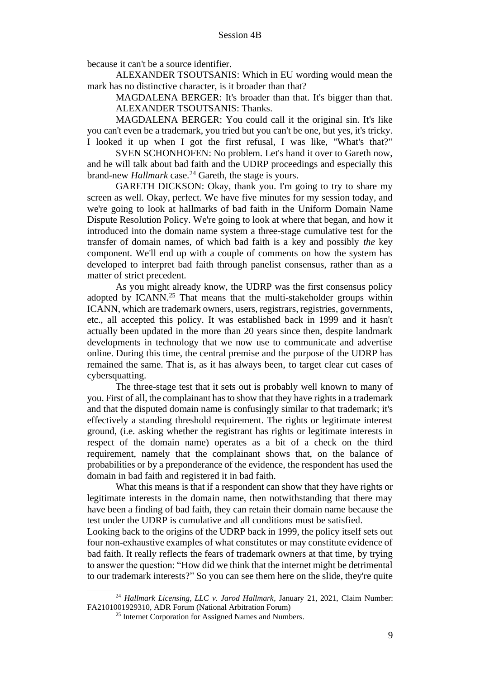because it can't be a source identifier.

ALEXANDER TSOUTSANIS: Which in EU wording would mean the mark has no distinctive character, is it broader than that?

MAGDALENA BERGER: It's broader than that. It's bigger than that. ALEXANDER TSOUTSANIS: Thanks.

MAGDALENA BERGER: You could call it the original sin. It's like you can't even be a trademark, you tried but you can't be one, but yes, it's tricky. I looked it up when I got the first refusal, I was like, "What's that?"

SVEN SCHONHOFEN: No problem. Let's hand it over to Gareth now, and he will talk about bad faith and the UDRP proceedings and especially this brand-new *Hallmark* case.<sup>24</sup> Gareth, the stage is yours.

GARETH DICKSON: Okay, thank you. I'm going to try to share my screen as well. Okay, perfect. We have five minutes for my session today, and we're going to look at hallmarks of bad faith in the Uniform Domain Name Dispute Resolution Policy. We're going to look at where that began, and how it introduced into the domain name system a three-stage cumulative test for the transfer of domain names, of which bad faith is a key and possibly *the* key component. We'll end up with a couple of comments on how the system has developed to interpret bad faith through panelist consensus, rather than as a matter of strict precedent.

As you might already know, the UDRP was the first consensus policy adopted by ICANN.<sup>25</sup> That means that the multi-stakeholder groups within ICANN, which are trademark owners, users, registrars, registries, governments, etc., all accepted this policy. It was established back in 1999 and it hasn't actually been updated in the more than 20 years since then, despite landmark developments in technology that we now use to communicate and advertise online. During this time, the central premise and the purpose of the UDRP has remained the same. That is, as it has always been, to target clear cut cases of cybersquatting.

The three-stage test that it sets out is probably well known to many of you. First of all, the complainant has to show that they have rights in a trademark and that the disputed domain name is confusingly similar to that trademark; it's effectively a standing threshold requirement. The rights or legitimate interest ground, (i.e. asking whether the registrant has rights or legitimate interests in respect of the domain name) operates as a bit of a check on the third requirement, namely that the complainant shows that, on the balance of probabilities or by a preponderance of the evidence, the respondent has used the domain in bad faith and registered it in bad faith.

What this means is that if a respondent can show that they have rights or legitimate interests in the domain name, then notwithstanding that there may have been a finding of bad faith, they can retain their domain name because the test under the UDRP is cumulative and all conditions must be satisfied.

Looking back to the origins of the UDRP back in 1999, the policy itself sets out four non-exhaustive examples of what constitutes or may constitute evidence of bad faith. It really reflects the fears of trademark owners at that time, by trying to answer the question: "How did we think that the internet might be detrimental to our trademark interests?" So you can see them here on the slide, they're quite

<sup>24</sup> *Hallmark Licensing, LLC v. Jarod Hallmark*, January 21, 2021, Claim Number: FA2101001929310, ADR Forum (National Arbitration Forum)

<sup>&</sup>lt;sup>25</sup> Internet Corporation for Assigned Names and Numbers.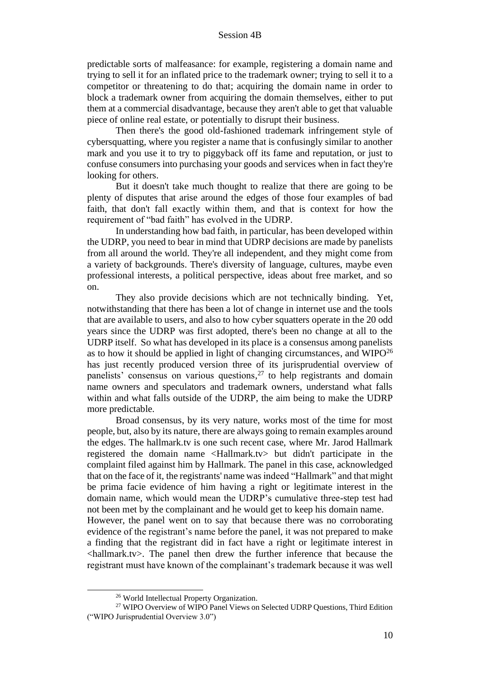predictable sorts of malfeasance: for example, registering a domain name and trying to sell it for an inflated price to the trademark owner; trying to sell it to a competitor or threatening to do that; acquiring the domain name in order to block a trademark owner from acquiring the domain themselves, either to put them at a commercial disadvantage, because they aren't able to get that valuable piece of online real estate, or potentially to disrupt their business.

Then there's the good old-fashioned trademark infringement style of cybersquatting, where you register a name that is confusingly similar to another mark and you use it to try to piggyback off its fame and reputation, or just to confuse consumers into purchasing your goods and services when in fact they're looking for others.

But it doesn't take much thought to realize that there are going to be plenty of disputes that arise around the edges of those four examples of bad faith, that don't fall exactly within them, and that is context for how the requirement of "bad faith" has evolved in the UDRP.

In understanding how bad faith, in particular, has been developed within the UDRP, you need to bear in mind that UDRP decisions are made by panelists from all around the world. They're all independent, and they might come from a variety of backgrounds. There's diversity of language, cultures, maybe even professional interests, a political perspective, ideas about free market, and so on.

They also provide decisions which are not technically binding. Yet, notwithstanding that there has been a lot of change in internet use and the tools that are available to users, and also to how cyber squatters operate in the 20 odd years since the UDRP was first adopted, there's been no change at all to the UDRP itself. So what has developed in its place is a consensus among panelists as to how it should be applied in light of changing circumstances, and  $WIPO<sup>26</sup>$ has just recently produced version three of its jurisprudential overview of panelists' consensus on various questions, <sup>27</sup> to help registrants and domain name owners and speculators and trademark owners, understand what falls within and what falls outside of the UDRP, the aim being to make the UDRP more predictable.

Broad consensus, by its very nature, works most of the time for most people, but, also by its nature, there are always going to remain examples around the edges. The hallmark.tv is one such recent case, where Mr. Jarod Hallmark registered the domain name <Hallmark.tv> but didn't participate in the complaint filed against him by Hallmark. The panel in this case, acknowledged that on the face of it, the registrants' name was indeed "Hallmark" and that might be prima facie evidence of him having a right or legitimate interest in the domain name, which would mean the UDRP's cumulative three-step test had not been met by the complainant and he would get to keep his domain name.

However, the panel went on to say that because there was no corroborating evidence of the registrant's name before the panel, it was not prepared to make a finding that the registrant did in fact have a right or legitimate interest in <hallmark.tv>. The panel then drew the further inference that because the registrant must have known of the complainant's trademark because it was well

<sup>26</sup> World Intellectual Property Organization.

<sup>27</sup> WIPO Overview of WIPO Panel Views on Selected UDRP Questions, Third Edition ("WIPO Jurisprudential Overview 3.0")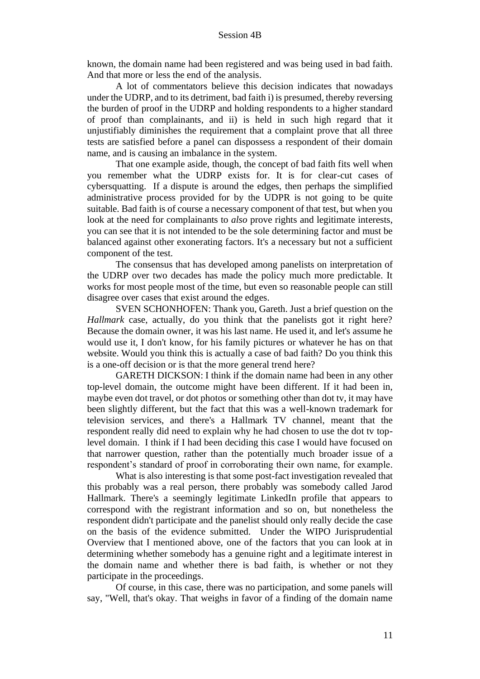known, the domain name had been registered and was being used in bad faith. And that more or less the end of the analysis.

A lot of commentators believe this decision indicates that nowadays under the UDRP, and to its detriment, bad faith i) is presumed, thereby reversing the burden of proof in the UDRP and holding respondents to a higher standard of proof than complainants, and ii) is held in such high regard that it unjustifiably diminishes the requirement that a complaint prove that all three tests are satisfied before a panel can dispossess a respondent of their domain name, and is causing an imbalance in the system.

That one example aside, though, the concept of bad faith fits well when you remember what the UDRP exists for. It is for clear-cut cases of cybersquatting. If a dispute is around the edges, then perhaps the simplified administrative process provided for by the UDPR is not going to be quite suitable. Bad faith is of course a necessary component of that test, but when you look at the need for complainants to *also* prove rights and legitimate interests, you can see that it is not intended to be the sole determining factor and must be balanced against other exonerating factors. It's a necessary but not a sufficient component of the test.

The consensus that has developed among panelists on interpretation of the UDRP over two decades has made the policy much more predictable. It works for most people most of the time, but even so reasonable people can still disagree over cases that exist around the edges.

SVEN SCHONHOFEN: Thank you, Gareth. Just a brief question on the *Hallmark* case, actually, do you think that the panelists got it right here? Because the domain owner, it was his last name. He used it, and let's assume he would use it, I don't know, for his family pictures or whatever he has on that website. Would you think this is actually a case of bad faith? Do you think this is a one-off decision or is that the more general trend here?

GARETH DICKSON: I think if the domain name had been in any other top-level domain, the outcome might have been different. If it had been in, maybe even dot travel, or dot photos or something other than dot tv, it may have been slightly different, but the fact that this was a well-known trademark for television services, and there's a Hallmark TV channel, meant that the respondent really did need to explain why he had chosen to use the dot tv toplevel domain. I think if I had been deciding this case I would have focused on that narrower question, rather than the potentially much broader issue of a respondent's standard of proof in corroborating their own name, for example.

What is also interesting is that some post-fact investigation revealed that this probably was a real person, there probably was somebody called Jarod Hallmark. There's a seemingly legitimate LinkedIn profile that appears to correspond with the registrant information and so on, but nonetheless the respondent didn't participate and the panelist should only really decide the case on the basis of the evidence submitted. Under the WIPO Jurisprudential Overview that I mentioned above, one of the factors that you can look at in determining whether somebody has a genuine right and a legitimate interest in the domain name and whether there is bad faith, is whether or not they participate in the proceedings.

Of course, in this case, there was no participation, and some panels will say, "Well, that's okay. That weighs in favor of a finding of the domain name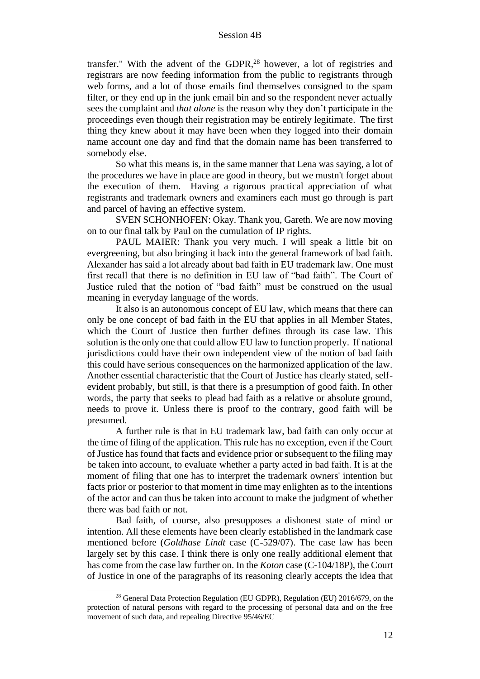transfer." With the advent of the GDPR, $28$  however, a lot of registries and registrars are now feeding information from the public to registrants through web forms, and a lot of those emails find themselves consigned to the spam filter, or they end up in the junk email bin and so the respondent never actually sees the complaint and *that alone* is the reason why they don't participate in the proceedings even though their registration may be entirely legitimate. The first thing they knew about it may have been when they logged into their domain name account one day and find that the domain name has been transferred to somebody else.

So what this means is, in the same manner that Lena was saying, a lot of the procedures we have in place are good in theory, but we mustn't forget about the execution of them. Having a rigorous practical appreciation of what registrants and trademark owners and examiners each must go through is part and parcel of having an effective system.

SVEN SCHONHOFEN: Okay. Thank you, Gareth. We are now moving on to our final talk by Paul on the cumulation of IP rights.

PAUL MAIER: Thank you very much. I will speak a little bit on evergreening, but also bringing it back into the general framework of bad faith. Alexander has said a lot already about bad faith in EU trademark law. One must first recall that there is no definition in EU law of "bad faith". The Court of Justice ruled that the notion of "bad faith" must be construed on the usual meaning in everyday language of the words.

It also is an autonomous concept of EU law, which means that there can only be one concept of bad faith in the EU that applies in all Member States, which the Court of Justice then further defines through its case law. This solution is the only one that could allow EU law to function properly. If national jurisdictions could have their own independent view of the notion of bad faith this could have serious consequences on the harmonized application of the law. Another essential characteristic that the Court of Justice has clearly stated, selfevident probably, but still, is that there is a presumption of good faith. In other words, the party that seeks to plead bad faith as a relative or absolute ground, needs to prove it. Unless there is proof to the contrary, good faith will be presumed.

A further rule is that in EU trademark law, bad faith can only occur at the time of filing of the application. This rule has no exception, even if the Court of Justice has found that facts and evidence prior or subsequent to the filing may be taken into account, to evaluate whether a party acted in bad faith. It is at the moment of filing that one has to interpret the trademark owners' intention but facts prior or posterior to that moment in time may enlighten as to the intentions of the actor and can thus be taken into account to make the judgment of whether there was bad faith or not.

Bad faith, of course, also presupposes a dishonest state of mind or intention. All these elements have been clearly established in the landmark case mentioned before (*Goldhase Lindt* case (C-529/07). The case law has been largely set by this case. I think there is only one really additional element that has come from the case law further on. In the *Koton* case (C-104/18P), the Court of Justice in one of the paragraphs of its reasoning clearly accepts the idea that

<sup>&</sup>lt;sup>28</sup> General Data Protection Regulation (EU GDPR), Regulation (EU) 2016/679, on the protection of natural persons with regard to the processing of personal data and on the free movement of such data, and repealing Directive 95/46/EC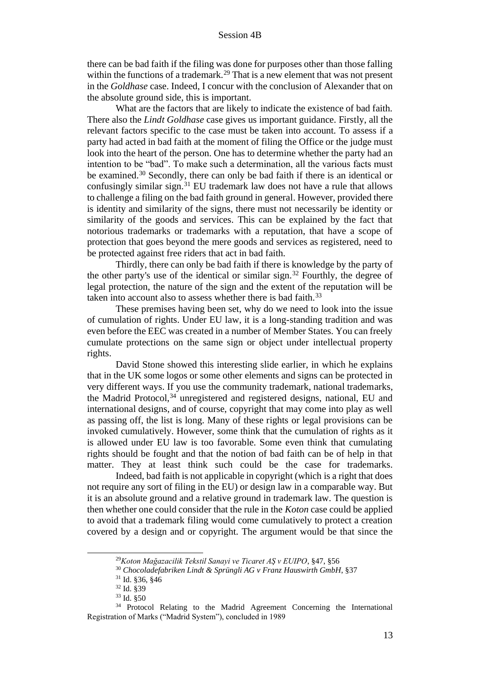there can be bad faith if the filing was done for purposes other than those falling within the functions of a trademark.<sup>29</sup> That is a new element that was not present in the *Goldhase* case. Indeed, I concur with the conclusion of Alexander that on the absolute ground side, this is important.

What are the factors that are likely to indicate the existence of bad faith. There also the *Lindt Goldhase* case gives us important guidance. Firstly, all the relevant factors specific to the case must be taken into account. To assess if a party had acted in bad faith at the moment of filing the Office or the judge must look into the heart of the person. One has to determine whether the party had an intention to be "bad". To make such a determination, all the various facts must be examined.<sup>30</sup> Secondly, there can only be bad faith if there is an identical or confusingly similar sign.<sup>31</sup> EU trademark law does not have a rule that allows to challenge a filing on the bad faith ground in general. However, provided there is identity and similarity of the signs, there must not necessarily be identity or similarity of the goods and services. This can be explained by the fact that notorious trademarks or trademarks with a reputation, that have a scope of protection that goes beyond the mere goods and services as registered, need to be protected against free riders that act in bad faith.

Thirdly, there can only be bad faith if there is knowledge by the party of the other party's use of the identical or similar sign.<sup>32</sup> Fourthly, the degree of legal protection, the nature of the sign and the extent of the reputation will be taken into account also to assess whether there is bad faith.<sup>33</sup>

These premises having been set, why do we need to look into the issue of cumulation of rights. Under EU law, it is a long-standing tradition and was even before the EEC was created in a number of Member States. You can freely cumulate protections on the same sign or object under intellectual property rights.

David Stone showed this interesting slide earlier, in which he explains that in the UK some logos or some other elements and signs can be protected in very different ways. If you use the community trademark, national trademarks, the Madrid Protocol,<sup>34</sup> unregistered and registered designs, national, EU and international designs, and of course, copyright that may come into play as well as passing off, the list is long. Many of these rights or legal provisions can be invoked cumulatively. However, some think that the cumulation of rights as it is allowed under EU law is too favorable. Some even think that cumulating rights should be fought and that the notion of bad faith can be of help in that matter. They at least think such could be the case for trademarks.

Indeed, bad faith is not applicable in copyright (which is a right that does not require any sort of filing in the EU) or design law in a comparable way. But it is an absolute ground and a relative ground in trademark law. The question is then whether one could consider that the rule in the *Koton* case could be applied to avoid that a trademark filing would come cumulatively to protect a creation covered by a design and or copyright. The argument would be that since the

<sup>29</sup>*Koton Mağazacilik Tekstil Sanayi ve Ticaret AŞ v EUIPO*, §47, §56

<sup>30</sup> *Chocoladefabriken Lindt & Sprüngli AG v Franz Hauswirth GmbH*, §37

<sup>31</sup> Id. §36, §46

<sup>32</sup> Id. §39

<sup>33</sup> Id. §50

<sup>&</sup>lt;sup>34</sup> Protocol Relating to the Madrid Agreement Concerning the International Registration of Marks ("Madrid System"), concluded in 1989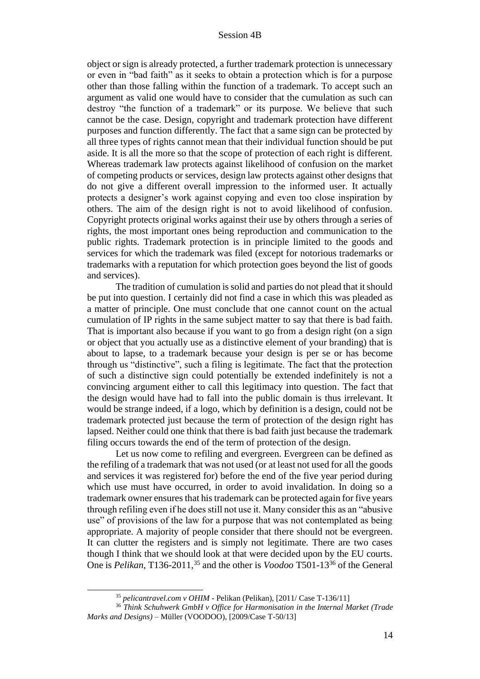object or sign is already protected, a further trademark protection is unnecessary or even in "bad faith" as it seeks to obtain a protection which is for a purpose other than those falling within the function of a trademark. To accept such an argument as valid one would have to consider that the cumulation as such can destroy "the function of a trademark" or its purpose. We believe that such cannot be the case. Design, copyright and trademark protection have different purposes and function differently. The fact that a same sign can be protected by all three types of rights cannot mean that their individual function should be put aside. It is all the more so that the scope of protection of each right is different. Whereas trademark law protects against likelihood of confusion on the market of competing products or services, design law protects against other designs that do not give a different overall impression to the informed user. It actually protects a designer's work against copying and even too close inspiration by others. The aim of the design right is not to avoid likelihood of confusion. Copyright protects original works against their use by others through a series of rights, the most important ones being reproduction and communication to the public rights. Trademark protection is in principle limited to the goods and services for which the trademark was filed (except for notorious trademarks or trademarks with a reputation for which protection goes beyond the list of goods and services).

The tradition of cumulation is solid and parties do not plead that it should be put into question. I certainly did not find a case in which this was pleaded as a matter of principle. One must conclude that one cannot count on the actual cumulation of IP rights in the same subject matter to say that there is bad faith. That is important also because if you want to go from a design right (on a sign or object that you actually use as a distinctive element of your branding) that is about to lapse, to a trademark because your design is per se or has become through us "distinctive", such a filing is legitimate. The fact that the protection of such a distinctive sign could potentially be extended indefinitely is not a convincing argument either to call this legitimacy into question. The fact that the design would have had to fall into the public domain is thus irrelevant. It would be strange indeed, if a logo, which by definition is a design, could not be trademark protected just because the term of protection of the design right has lapsed. Neither could one think that there is bad faith just because the trademark filing occurs towards the end of the term of protection of the design.

Let us now come to refiling and evergreen. Evergreen can be defined as the refiling of a trademark that was not used (or at least not used for all the goods and services it was registered for) before the end of the five year period during which use must have occurred, in order to avoid invalidation. In doing so a trademark owner ensures that his trademark can be protected again for five years through refiling even if he does still not use it. Many consider this as an "abusive use" of provisions of the law for a purpose that was not contemplated as being appropriate. A majority of people consider that there should not be evergreen. It can clutter the registers and is simply not legitimate. There are two cases though I think that we should look at that were decided upon by the EU courts. One is *Pelikan*, T136-2011,<sup>35</sup> and the other is *Voodoo* T501-13<sup>36</sup> of the General

<sup>35</sup> *pelicantravel.com v OHIM* - Pelikan (Pelikan), [2011/ Case T-136/11]

<sup>36</sup> *Think Schuhwerk GmbH v Office for Harmonisation in the Internal Market (Trade Marks and Designs)* – Müller (VOODOO), [2009/Case T-50/13]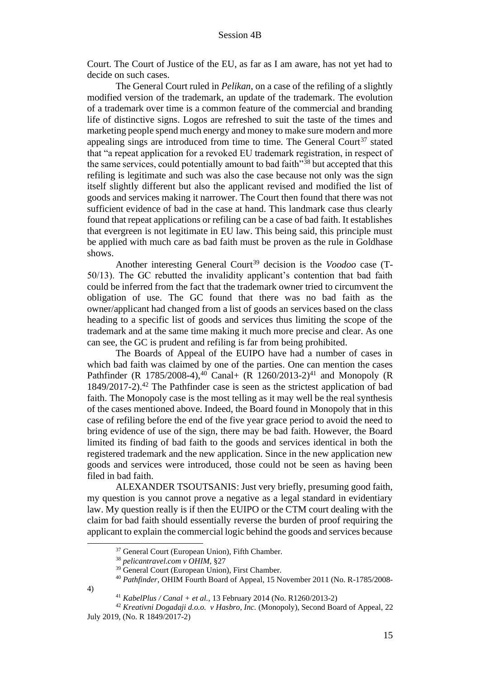Court. The Court of Justice of the EU, as far as I am aware, has not yet had to decide on such cases.

The General Court ruled in *Pelikan*, on a case of the refiling of a slightly modified version of the trademark, an update of the trademark. The evolution of a trademark over time is a common feature of the commercial and branding life of distinctive signs. Logos are refreshed to suit the taste of the times and marketing people spend much energy and money to make sure modern and more appealing sings are introduced from time to time. The General Court<sup>37</sup> stated that "a repeat application for a revoked EU trademark registration, in respect of the same services, could potentially amount to bad faith<sup>"38</sup> but accepted that this refiling is legitimate and such was also the case because not only was the sign itself slightly different but also the applicant revised and modified the list of goods and services making it narrower. The Court then found that there was not sufficient evidence of bad in the case at hand. This landmark case thus clearly found that repeat applications or refiling can be a case of bad faith. It establishes that evergreen is not legitimate in EU law. This being said, this principle must be applied with much care as bad faith must be proven as the rule in Goldhase shows.

Another interesting General Court<sup>39</sup> decision is the *Voodoo* case (T-50/13). The GC rebutted the invalidity applicant's contention that bad faith could be inferred from the fact that the trademark owner tried to circumvent the obligation of use. The GC found that there was no bad faith as the owner/applicant had changed from a list of goods an services based on the class heading to a specific list of goods and services thus limiting the scope of the trademark and at the same time making it much more precise and clear. As one can see, the GC is prudent and refiling is far from being prohibited.

The Boards of Appeal of the EUIPO have had a number of cases in which bad faith was claimed by one of the parties. One can mention the cases Pathfinder (R 1785/2008-4),<sup>40</sup> Canal+ (R 1260/2013-2)<sup>41</sup> and Monopoly (R  $1849/2017-2$ ).<sup>42</sup> The Pathfinder case is seen as the strictest application of bad faith. The Monopoly case is the most telling as it may well be the real synthesis of the cases mentioned above. Indeed, the Board found in Monopoly that in this case of refiling before the end of the five year grace period to avoid the need to bring evidence of use of the sign, there may be bad faith. However, the Board limited its finding of bad faith to the goods and services identical in both the registered trademark and the new application. Since in the new application new goods and services were introduced, those could not be seen as having been filed in bad faith.

ALEXANDER TSOUTSANIS: Just very briefly, presuming good faith, my question is you cannot prove a negative as a legal standard in evidentiary law. My question really is if then the EUIPO or the CTM court dealing with the claim for bad faith should essentially reverse the burden of proof requiring the applicant to explain the commercial logic behind the goods and services because

<sup>37</sup> General Court (European Union), Fifth Chamber.

<sup>38</sup> *pelicantravel.com v OHIM*, §27

<sup>&</sup>lt;sup>39</sup> General Court (European Union), First Chamber.

<sup>40</sup> *Pathfinder*, OHIM Fourth Board of Appeal, 15 November 2011 (No. R-1785/2008-

<sup>4)</sup>

<sup>&</sup>lt;sup>41</sup> *KabelPlus / Canal + et al.*, 13 February 2014 (No. R1260/2013-2)

<sup>42</sup> *Kreativni Dogadaji d.o.o. v Hasbro, Inc.* (Monopoly), Second Board of Appeal, 22 July 2019, (No. R 1849/2017-2)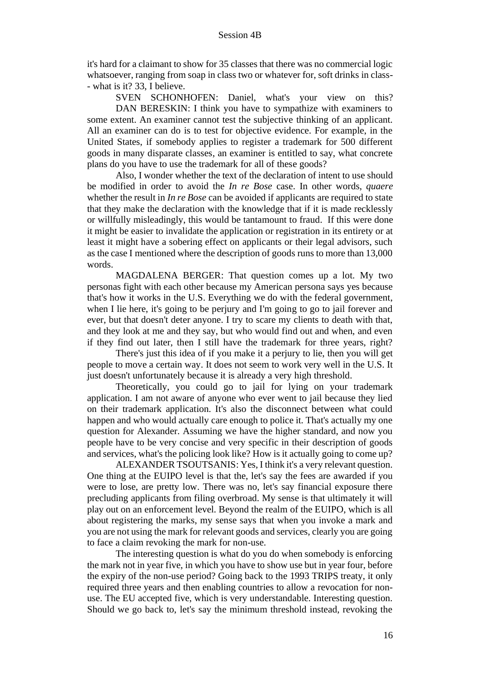it's hard for a claimant to show for 35 classes that there was no commercial logic whatsoever, ranging from soap in class two or whatever for, soft drinks in class-- what is it? 33, I believe.

SVEN SCHONHOFEN: Daniel, what's your view on this? DAN BERESKIN: I think you have to sympathize with examiners to some extent. An examiner cannot test the subjective thinking of an applicant. All an examiner can do is to test for objective evidence. For example, in the United States, if somebody applies to register a trademark for 500 different goods in many disparate classes, an examiner is entitled to say, what concrete plans do you have to use the trademark for all of these goods?

Also, I wonder whether the text of the declaration of intent to use should be modified in order to avoid the *In re Bose* case. In other words, *quaere* whether the result in *In re Bose* can be avoided if applicants are required to state that they make the declaration with the knowledge that if it is made recklessly or willfully misleadingly, this would be tantamount to fraud. If this were done it might be easier to invalidate the application or registration in its entirety or at least it might have a sobering effect on applicants or their legal advisors, such as the case I mentioned where the description of goods runs to more than 13,000 words.

MAGDALENA BERGER: That question comes up a lot. My two personas fight with each other because my American persona says yes because that's how it works in the U.S. Everything we do with the federal government, when I lie here, it's going to be perjury and I'm going to go to jail forever and ever, but that doesn't deter anyone. I try to scare my clients to death with that, and they look at me and they say, but who would find out and when, and even if they find out later, then I still have the trademark for three years, right?

There's just this idea of if you make it a perjury to lie, then you will get people to move a certain way. It does not seem to work very well in the U.S. It just doesn't unfortunately because it is already a very high threshold.

Theoretically, you could go to jail for lying on your trademark application. I am not aware of anyone who ever went to jail because they lied on their trademark application. It's also the disconnect between what could happen and who would actually care enough to police it. That's actually my one question for Alexander. Assuming we have the higher standard, and now you people have to be very concise and very specific in their description of goods and services, what's the policing look like? How is it actually going to come up?

ALEXANDER TSOUTSANIS: Yes, I think it's a very relevant question. One thing at the EUIPO level is that the, let's say the fees are awarded if you were to lose, are pretty low. There was no, let's say financial exposure there precluding applicants from filing overbroad. My sense is that ultimately it will play out on an enforcement level. Beyond the realm of the EUIPO, which is all about registering the marks, my sense says that when you invoke a mark and you are not using the mark for relevant goods and services, clearly you are going to face a claim revoking the mark for non-use.

The interesting question is what do you do when somebody is enforcing the mark not in year five, in which you have to show use but in year four, before the expiry of the non-use period? Going back to the 1993 TRIPS treaty, it only required three years and then enabling countries to allow a revocation for nonuse. The EU accepted five, which is very understandable. Interesting question. Should we go back to, let's say the minimum threshold instead, revoking the